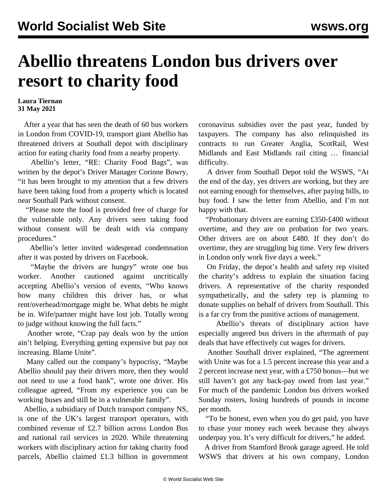## **Abellio threatens London bus drivers over resort to charity food**

## **Laura Tiernan 31 May 2021**

 After a year that has seen the death of 60 bus workers in London from COVID-19, transport giant Abellio has threatened drivers at Southall depot with disciplinary action for eating charity food from a nearby property.

 Abellio's letter, "RE: Charity Food Bags", was written by the depot's Driver Manager Corinne Bowry, "it has been brought to my attention that a few drivers have been taking food from a property which is located near Southall Park without consent.

 "Please note the food is provided free of charge for the vulnerable only. Any drivers seen taking food without consent will be dealt with via company procedures."

 Abellio's letter invited widespread condemnation after it was posted by drivers on Facebook.

 "Maybe the drivers are hungry" wrote one bus worker. Another cautioned against uncritically accepting Abellio's version of events, "Who knows how many children this driver has, or what rent/overhead/mortgage might be. What debts he might be in. Wife/partner might have lost job. Totally wrong to judge without knowing the full facts."

 Another wrote, "Crap pay deals won by the union ain't helping. Everything getting expensive but pay not increasing. Blame Unite".

 Many called out the company's hypocrisy, "Maybe Abellio should pay their drivers more, then they would not need to use a food bank", wrote one driver. His colleague agreed, "From my experience you can be working buses and still be in a vulnerable family".

 Abellio, a subsidiary of Dutch transport company NS, is one of the UK's largest transport operators, with combined revenue of £2.7 billion across London Bus and national rail services in 2020. While threatening workers with disciplinary action for taking charity food parcels, Abellio claimed £1.3 billion in government coronavirus subsidies over the past year, funded by taxpayers. The company has also relinquished its contracts to run Greater Anglia, ScotRail, West Midlands and East Midlands rail citing … financial difficulty.

 A driver from Southall Depot told the WSWS, "At the end of the day, yes drivers are working, but they are not earning enough for themselves, after paying bills, to buy food. I saw the letter from Abellio, and I'm not happy with that.

 "Probationary drivers are earning £350-£400 without overtime, and they are on probation for two years. Other drivers are on about £480. If they don't do overtime, they are struggling big time. Very few drivers in London only work five days a week."

 On Friday, the depot's health and safety rep visited the charity's address to explain the situation facing drivers. A representative of the charity responded sympathetically, and the safety rep is planning to donate supplies on behalf of drivers from Southall. This is a far cry from the punitive actions of management.

 Abellio's threats of disciplinary action have especially angered bus drivers in the aftermath of pay deals that have effectively cut wages for drivers.

 Another Southall driver explained, "The agreement with Unite was for a 1.5 percent increase this year and a 2 percent increase next year, with a £750 bonus—but we still haven't got any back-pay owed from last year." For much of the pandemic London bus drivers worked Sunday rosters, losing hundreds of pounds in income per month.

 "To be honest, even when you do get paid, you have to chase your money each week because they always underpay you. It's very difficult for drivers," he added.

 A driver from Stamford Brook garage agreed. He told WSWS that drivers at his own company, London